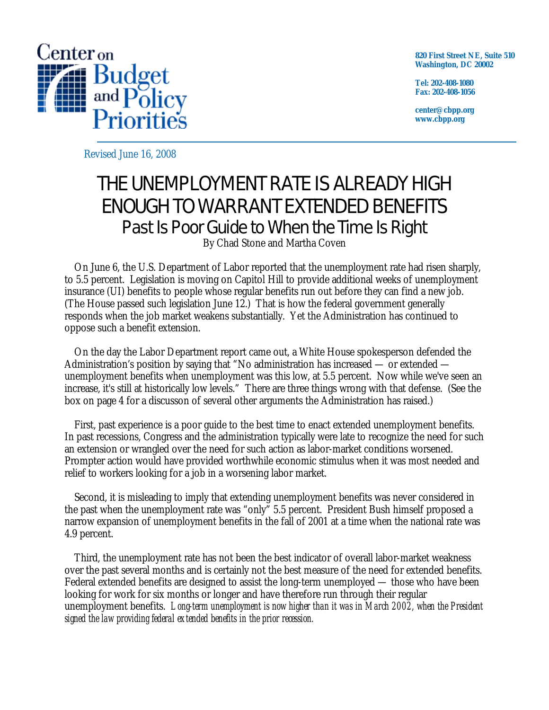

**820 First Street NE, Suite 510 Washington, DC 20002** 

**Tel: 202-408-1080 Fax: 202-408-1056** 

**center@cbpp.org www.cbpp.org** 

Revised June 16, 2008

# THE UNEMPLOYMENT RATE IS ALREADY HIGH ENOUGH TO WARRANT EXTENDED BENEFITS Past Is Poor Guide to When the Time Is Right

By Chad Stone and Martha Coven

 On June 6, the U.S. Department of Labor reported that the unemployment rate had risen sharply, to 5.5 percent. Legislation is moving on Capitol Hill to provide additional weeks of unemployment insurance (UI) benefits to people whose regular benefits run out before they can find a new job. (The House passed such legislation June 12.) That is how the federal government generally responds when the job market weakens substantially. Yet the Administration has continued to oppose such a benefit extension.

 On the day the Labor Department report came out, a White House spokesperson defended the Administration's position by saying that "No administration has increased — or extended unemployment benefits when unemployment was this low, at 5.5 percent. Now while we've seen an increase, it's still at historically low levels." There are three things wrong with that defense. (See the box on page 4 for a discusson of several other arguments the Administration has raised.)

 First, past experience is a poor guide to the best time to enact extended unemployment benefits. In past recessions, Congress and the administration typically were late to recognize the need for such an extension or wrangled over the need for such action as labor-market conditions worsened. Prompter action would have provided worthwhile economic stimulus when it was most needed and relief to workers looking for a job in a worsening labor market.

 Second, it is misleading to imply that extending unemployment benefits was never considered in the past when the unemployment rate was "only" 5.5 percent. President Bush himself proposed a narrow expansion of unemployment benefits in the fall of 2001 at a time when the national rate was 4.9 percent.

 Third, the unemployment rate has not been the best indicator of overall labor-market weakness over the past several months and is certainly not the best measure of the need for extended benefits. Federal extended benefits are designed to assist the long-term unemployed — those who have been looking for work for six months or longer and have therefore run through their regular unemployment benefits. *Long-term unemployment is now higher than it was in March 2002, when the President signed the law providing federal extended benefits in the prior recession.*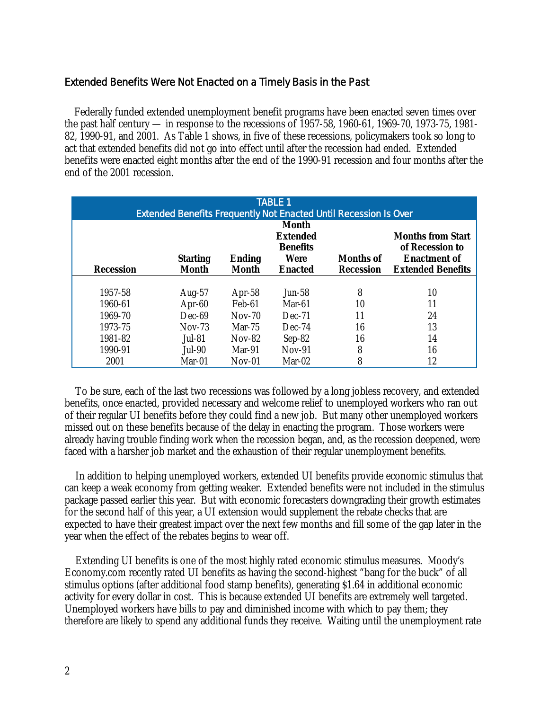## Extended Benefits Were Not Enacted on a Timely Basis in the Past

 Federally funded extended unemployment benefit programs have been enacted seven times over the past half century — in response to the recessions of 1957-58, 1960-61, 1969-70, 1973-75, 1981- 82, 1990-91, and 2001. As Table 1 shows, in five of these recessions, policymakers took so long to act that extended benefits did not go into effect until after the recession had ended. Extended benefits were enacted eight months after the end of the 1990-91 recession and four months after the end of the 2001 recession.

| <b>TABLE 1</b>                                                          |                                 |                               |                                                                       |                                      |                                                                                                |
|-------------------------------------------------------------------------|---------------------------------|-------------------------------|-----------------------------------------------------------------------|--------------------------------------|------------------------------------------------------------------------------------------------|
| <b>Extended Benefits Frequently Not Enacted Until Recession Is Over</b> |                                 |                               |                                                                       |                                      |                                                                                                |
| <b>Recession</b>                                                        | <b>Starting</b><br><b>Month</b> | <b>Ending</b><br><b>Month</b> | Month<br><b>Extended</b><br><b>Benefits</b><br>Were<br><b>Enacted</b> | <b>Months of</b><br><b>Recession</b> | <b>Months from Start</b><br>of Recession to<br><b>Enactment of</b><br><b>Extended Benefits</b> |
|                                                                         |                                 |                               |                                                                       |                                      |                                                                                                |
| 1957-58                                                                 | Aug-57                          | Apr- $58$                     | Jun-58                                                                | 8                                    | 10                                                                                             |
| 1960-61                                                                 | Apr- $60$                       | Feb-61                        | Mar- $61$                                                             | 10                                   | 11                                                                                             |
| 1969-70                                                                 | $Dec-69$                        | $Nov-70$                      | $Dec-71$                                                              | 11                                   | 24                                                                                             |
| 1973-75                                                                 | $Nov-73$                        | Mar- $75$                     | $Dec-74$                                                              | 16                                   | 13                                                                                             |
| 1981-82                                                                 | $Jul-81$                        | $Nov-82$                      | Sep-82                                                                | 16                                   | 14                                                                                             |
| 1990-91                                                                 | Jul-90                          | Mar-91                        | $Nov-91$                                                              | 8                                    | 16                                                                                             |
| 2001                                                                    | $Mar-01$                        | $Nov-01$                      | $Mar-02$                                                              | 8                                    | 12                                                                                             |

 To be sure, each of the last two recessions was followed by a long jobless recovery, and extended benefits, once enacted, provided necessary and welcome relief to unemployed workers who ran out of their regular UI benefits before they could find a new job. But many other unemployed workers missed out on these benefits because of the delay in enacting the program. Those workers were already having trouble finding work when the recession began, and, as the recession deepened, were faced with a harsher job market and the exhaustion of their regular unemployment benefits.

 In addition to helping unemployed workers, extended UI benefits provide economic stimulus that can keep a weak economy from getting weaker. Extended benefits were not included in the stimulus package passed earlier this year. But with economic forecasters downgrading their growth estimates for the second half of this year, a UI extension would supplement the rebate checks that are expected to have their greatest impact over the next few months and fill some of the gap later in the year when the effect of the rebates begins to wear off.

 Extending UI benefits is one of the most highly rated economic stimulus measures. Moody's Economy.com recently rated UI benefits as having the second-highest "bang for the buck" of all stimulus options (after additional food stamp benefits), generating \$1.64 in additional economic activity for every dollar in cost. This is because extended UI benefits are extremely well targeted. Unemployed workers have bills to pay and diminished income with which to pay them; they therefore are likely to spend any additional funds they receive. Waiting until the unemployment rate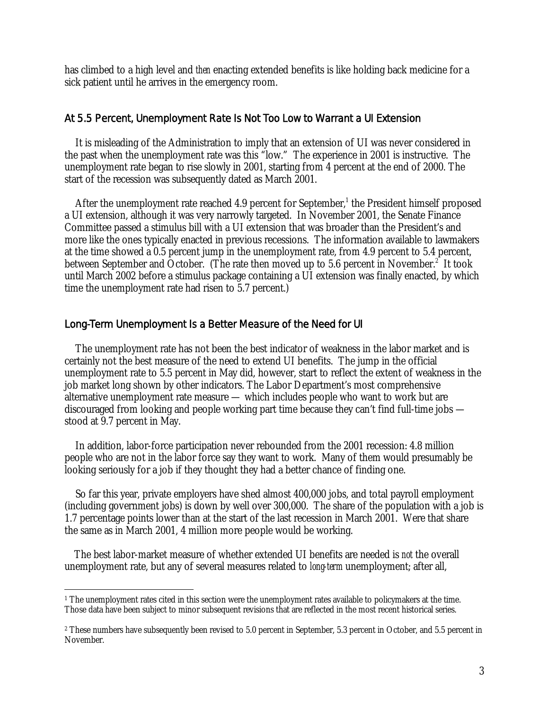has climbed to a high level and *then* enacting extended benefits is like holding back medicine for a sick patient until he arrives in the emergency room.

### At 5.5 Percent, Unemployment Rate Is Not Too Low to Warrant a UI Extension

 It is misleading of the Administration to imply that an extension of UI was never considered in the past when the unemployment rate was this "low." The experience in 2001 is instructive. The unemployment rate began to rise slowly in 2001, starting from 4 percent at the end of 2000. The start of the recession was subsequently dated as March 2001.

After the unemployment rate reached 4.9 percent for September,<sup>1</sup> the President himself proposed a UI extension, although it was very narrowly targeted. In November 2001, the Senate Finance Committee passed a stimulus bill with a UI extension that was broader than the President's and more like the ones typically enacted in previous recessions. The information available to lawmakers at the time showed a 0.5 percent jump in the unemployment rate, from 4.9 percent to 5.4 percent, between September and October. (The rate then moved up to 5.6 percent in November.<sup>2</sup> It took until March 2002 before a stimulus package containing a UI extension was finally enacted, by which time the unemployment rate had risen to 5.7 percent.)

#### Long-Term Unemployment Is a Better Measure of the Need for UI

 The unemployment rate has not been the best indicator of weakness in the labor market and is certainly not the best measure of the need to extend UI benefits. The jump in the official unemployment rate to 5.5 percent in May did, however, start to reflect the extent of weakness in the job market long shown by other indicators. The Labor Department's most comprehensive alternative unemployment rate measure — which includes people who want to work but are discouraged from looking and people working part time because they can't find full-time jobs stood at 9.7 percent in May.

 In addition, labor-force participation never rebounded from the 2001 recession: 4.8 million people who are not in the labor force say they want to work. Many of them would presumably be looking seriously for a job if they thought they had a better chance of finding one.

 So far this year, private employers have shed almost 400,000 jobs, and total payroll employment (including government jobs) is down by well over 300,000. The share of the population with a job is 1.7 percentage points lower than at the start of the last recession in March 2001. Were that share the same as in March 2001, 4 million more people would be working.

 The best labor-market measure of whether extended UI benefits are needed is *not* the overall unemployment rate, but any of several measures related to *long-term* unemployment; after all,

 $\overline{a}$ 

<sup>&</sup>lt;sup>1</sup> The unemployment rates cited in this section were the unemployment rates available to policymakers at the time. Those data have been subject to minor subsequent revisions that are reflected in the most recent historical series.

<sup>2</sup> These numbers have subsequently been revised to 5.0 percent in September, 5.3 percent in October, and 5.5 percent in November.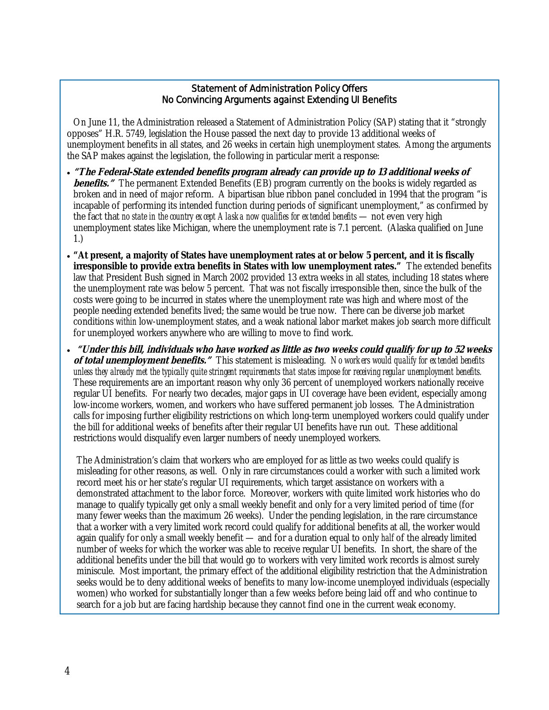#### Statement of Administration Policy Offers No Convincing Arguments against Extending UI Benefits

On June 11, the Administration released a Statement of Administration Policy (SAP) stating that it "strongly opposes" H.R. 5749, legislation the House passed the next day to provide 13 additional weeks of unemployment benefits in all states, and 26 weeks in certain high unemployment states. Among the arguments the SAP makes against the legislation, the following in particular merit a response:

- **"The Federal-State extended benefits program already can provide up to 13 additional weeks of benefits.**" The permanent Extended Benefits (EB) program currently on the books is widely regarded as broken and in need of major reform. A bipartisan blue ribbon panel concluded in 1994 that the program "is incapable of performing its intended function during periods of significant unemployment," as confirmed by the fact that *no state in the country except Alaska now qualifies for extended benefits* — not even very high unemployment states like Michigan, where the unemployment rate is 7.1 percent. (Alaska qualified on June 1.)
- **"At present, a majority of States have unemployment rates at or below 5 percent, and it is fiscally irresponsible to provide extra benefits in States with low unemployment rates."** The extended benefits law that President Bush signed in March 2002 provided 13 extra weeks in all states, including 18 states where the unemployment rate was below 5 percent. That was not fiscally irresponsible then, since the bulk of the costs were going to be incurred in states where the unemployment rate was high and where most of the people needing extended benefits lived; the same would be true now. There can be diverse job market conditions *within* low-unemployment states, and a weak national labor market makes job search more difficult for unemployed workers anywhere who are willing to move to find work.
- **"Under this bill, individuals who have worked as little as two weeks could qualify for up to 52 weeks of total unemployment benefits."** This statement is misleading. *No workers would qualify for extended benefits unless they already met the typically quite stringent requirements that states impose for receiving regular unemployment benefits.* These requirements are an important reason why only 36 percent of unemployed workers nationally receive regular UI benefits. For nearly two decades, major gaps in UI coverage have been evident, especially among low-income workers, women, and workers who have suffered permanent job losses. The Administration calls for imposing further eligibility restrictions on which long-term unemployed workers could qualify under the bill for additional weeks of benefits after their regular UI benefits have run out. These additional restrictions would disqualify even larger numbers of needy unemployed workers.

The Administration's claim that workers who are employed for as little as two weeks could qualify is misleading for other reasons, as well. Only in rare circumstances could a worker with such a limited work record meet his or her state's regular UI requirements, which target assistance on workers with a demonstrated attachment to the labor force. Moreover, workers with quite limited work histories who do manage to qualify typically get only a small weekly benefit and only for a very limited period of time (for many fewer weeks than the maximum 26 weeks). Under the pending legislation, in the rare circumstance that a worker with a very limited work record could qualify for additional benefits at all, the worker would again qualify for only a small weekly benefit — and for a duration equal to only *half* of the already limited number of weeks for which the worker was able to receive regular UI benefits. In short, the share of the additional benefits under the bill that would go to workers with very limited work records is almost surely miniscule. Most important, the primary effect of the additional eligibility restriction that the Administration seeks would be to deny additional weeks of benefits to many low-income unemployed individuals (especially women) who worked for substantially longer than a few weeks before being laid off and who continue to search for a job but are facing hardship because they cannot find one in the current weak economy.